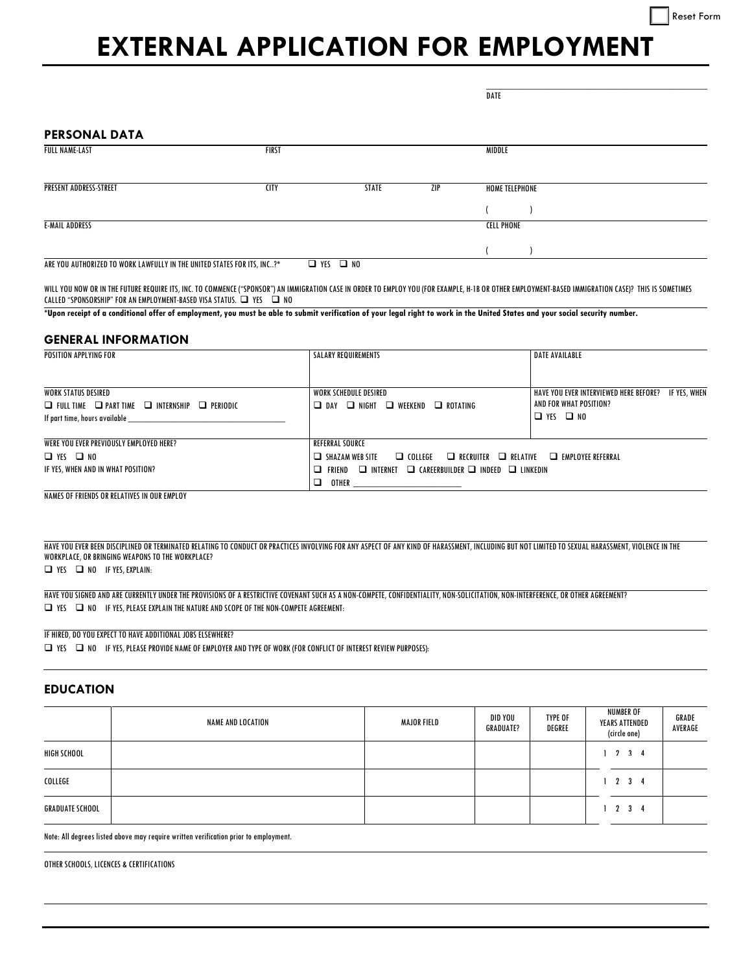# Reset Form

\_\_\_\_\_\_\_\_\_\_\_\_\_\_\_\_\_\_\_\_\_\_\_\_\_\_\_\_\_\_\_\_\_\_\_\_\_\_\_\_\_\_\_\_\_

**DATE** 

# **EXTERNAL APPLICATION FOR EMPLOYMENT**

| <b>PERSONAL DATA</b>                                                    |              |              |     |                       |  |
|-------------------------------------------------------------------------|--------------|--------------|-----|-----------------------|--|
| FULL NAME-LAST                                                          | <b>FIRST</b> |              |     | MIDDLE                |  |
|                                                                         |              |              |     |                       |  |
| <b>PRESENT ADDRESS-STREET</b>                                           | <b>CITY</b>  | <b>STATE</b> | ZIP | <b>HOME TELEPHONE</b> |  |
|                                                                         |              |              |     |                       |  |
| <b>E-MAIL ADDRESS</b>                                                   |              |              |     | <b>CELL PHONE</b>     |  |
|                                                                         |              |              |     |                       |  |
| ARE YOU AUTHORIZED TO WORK LAWFULLY IN THE UNITED STATES FOR ITS, INC?* | $\Box$ YES   | $\square$ NO |     |                       |  |

WILL YOU NOW OR IN THE FUTURE REQUIRE ITS, INC. TO COMMENCE ("SPONSOR") AN IMMIGRATION CASE IN ORDER TO EMPLOY YOU (FOR EXAMPLE, H-1B OR OTHER EMPLOYMENT-BASED IMMIGRATION CASE)? THIS IS SOMETIMES CALLED "SPONSORSHIP" FOR AN EMPLOYMENT-BASED VISA STATUS.  $\Box$  YES  $\Box$  NO

**\*Upon receipt of a conditional offer of employment, you must be able to submit verification of your legal right to work in the United States and your social security number.**

#### **GENERAL INFORMATION**

| POSITION APPLYING FOR                                               | <b>SALARY REQUIREMENTS</b>                                                                      | <b>DATE AVAILABLE</b>                                  |  |  |
|---------------------------------------------------------------------|-------------------------------------------------------------------------------------------------|--------------------------------------------------------|--|--|
|                                                                     |                                                                                                 |                                                        |  |  |
| WORK STATUS DESIRED                                                 | WORK SCHEDULE DESIRED                                                                           | IF YES, WHEN<br>HAVE YOU EVER INTERVIEWED HERE BEFORE? |  |  |
| $\Box$ full time $\Box$ part time $\Box$ internship $\Box$ periodic | $\Box$ DAY $\Box$ NIGHT $\Box$ WEEKEND $\Box$ ROTATING                                          | AND FOR WHAT POSITION?                                 |  |  |
| If part time, hours available                                       |                                                                                                 | $\Box$ YES $\Box$ NO                                   |  |  |
|                                                                     |                                                                                                 |                                                        |  |  |
| WERE YOU EVER PREVIOUSLY EMPLOYED HERE?                             | REFERRAL SOURCE                                                                                 |                                                        |  |  |
| $\Box$ YES $\Box$ NO                                                | $\Box$ SHAZAM WEB SITE $\Box$ COLLEGE $\Box$ RECRUITER $\Box$ RELATIVE $\Box$ EMPLOYEE REFERRAL |                                                        |  |  |
| IF YES, WHEN AND IN WHAT POSITION?                                  | $\Box$ FRIEND $\Box$ INTERNET $\Box$ CAREERBUILDER $\Box$ INDEED $\Box$ LINKEDIN                |                                                        |  |  |
|                                                                     | OTHER                                                                                           |                                                        |  |  |

NAMES OF FRIENDS OR RELATIVES IN OUR EMPLOY

HAVE YOU EVER BEEN DISCIPLINED OR TERMINATED RELATING TO CONDUCT OR PRACTICES INVOLVING FOR ANY ASPECT OF ANY KIND OF HARASSMENT, INCLUDING BUT NOT LIMITED TO SEXUAL HARASSMENT, VIOLENCE IN THE WORKPLACE, OR BRINGING WEAPONS TO THE WORKPLACE?

 $\Box$  YES  $\Box$  NO IF YES, EXPLAIN:

HAVE YOU SIGNED AND ARE CURRENTLY UNDER THE PROVISIONS OF A RESTRICTIVE COVENANT SUCH AS A NON-COMPETE, CONFIDENTIALITY, NON-SOLICITATION, NON-INTERFERENCE, OR OTHER AGREEMENT?  $\Box$  YES  $\Box$  NO IF YES, PLEASE EXPLAIN THE NATURE AND SCOPE OF THE NON-COMPETE AGREEMENT:

IF HIRED, DO YOU EXPECT TO HAVE ADDITIONAL JOBS ELSEWHERE?

WES  $\Box$  NO IF YES, PLEASE PROVIDE NAME OF EMPLOYER AND TYPE OF WORK (FOR CONFLICT OF INTEREST REVIEW PURPOSES):

# **EDUCATION**

|                        | NAME AND LOCATION | MAJOR FIELD | DID YOU<br><b>GRADUATE?</b> | <b>TYPE OF</b><br>DEGREE | NUMBER OF<br>YEARS ATTENDED<br>(circle one) | GRADE<br>AVERAGE |
|------------------------|-------------------|-------------|-----------------------------|--------------------------|---------------------------------------------|------------------|
| HIGH SCHOOL            |                   |             |                             |                          | $1 \t2 \t3 \t4$                             |                  |
| COLLEGE                |                   |             |                             |                          | $1 \t2 \t3 \t4$                             |                  |
| <b>GRADUATE SCHOOL</b> |                   |             |                             |                          | $1 \t2 \t3 \t4$                             |                  |

Note: All degrees listed above may require written verification prior to employment.

OTHER SCHOOLS, LICENCES & CERTIFICATIONS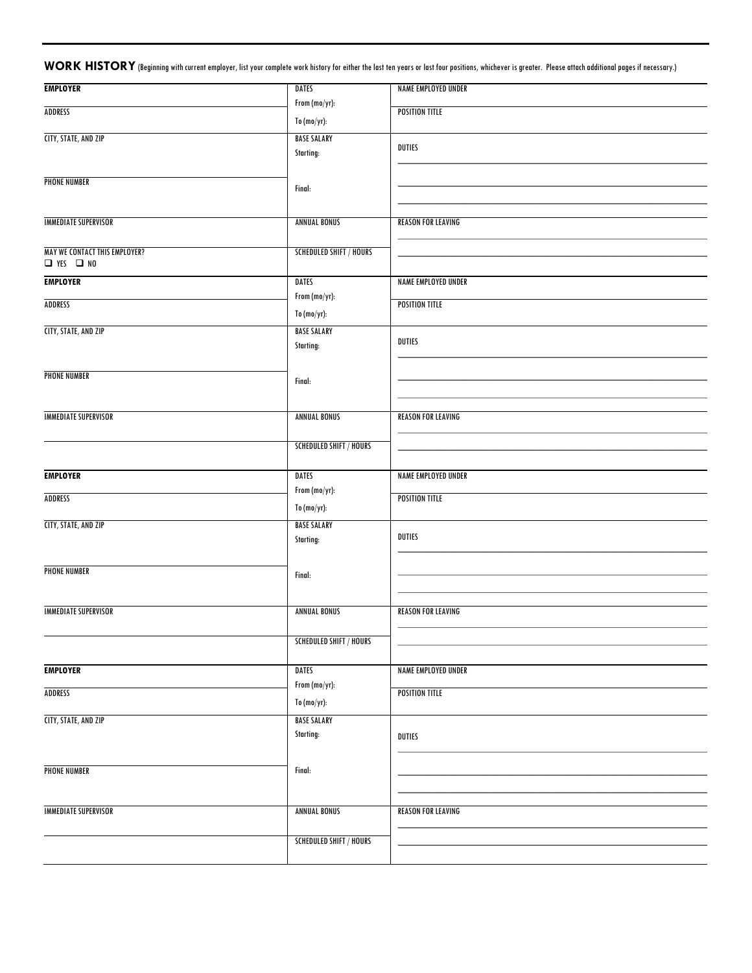WORK HISTORY (Beginning with current employer, list your complete work history for either the last ten years or last four positions, whichever is greater. Please attach additional pages if necessary.)

| <b>EMPLOYER</b>                      | DATES                          | NAME EMPLOYED UNDER       |
|--------------------------------------|--------------------------------|---------------------------|
| <b>ADDRESS</b>                       | From (mo/yr):<br>To (mo/yr):   | <b>POSITION TITLE</b>     |
|                                      |                                |                           |
| <b>CITY, STATE, AND ZIP</b>          | <b>BASE SALARY</b>             | DUTIES                    |
|                                      | Starting:                      |                           |
| <b>PHONE NUMBER</b>                  | Final:                         |                           |
|                                      |                                |                           |
|                                      |                                |                           |
| <b>IMMEDIATE SUPERVISOR</b>          | <b>ANNUAL BONUS</b>            | <b>REASON FOR LEAVING</b> |
| <b>MAY WE CONTACT THIS EMPLOYER?</b> | <b>SCHEDULED SHIFT / HOURS</b> |                           |
| $\Box$ YES $\Box$ NO                 |                                |                           |
| <b>EMPLOYER</b>                      | DATES                          | NAME EMPLOYED UNDER       |
| <b>ADDRESS</b>                       | From (mo/yr):                  | <b>POSITION TITLE</b>     |
|                                      | To (mo/yr):                    |                           |
| <b>CITY, STATE, AND ZIP</b>          | <b>BASE SALARY</b>             |                           |
|                                      | Starting:                      | DUTIES                    |
|                                      |                                |                           |
| <b>PHONE NUMBER</b>                  | Final:                         |                           |
|                                      |                                |                           |
| <b>IMMEDIATE SUPERVISOR</b>          | <b>ANNUAL BONUS</b>            | <b>REASON FOR LEAVING</b> |
|                                      |                                |                           |
|                                      | <b>SCHEDULED SHIFT / HOURS</b> |                           |
| <b>EMPLOYER</b>                      | DATES                          | NAME EMPLOYED UNDER       |
|                                      | From (mo/yr):                  |                           |
| <b>ADDRESS</b>                       |                                | <b>POSITION TITLE</b>     |
|                                      | To (mo/yr):                    |                           |
| <b>CITY, STATE, AND ZIP</b>          | <b>BASE SALARY</b>             | DUTIES                    |
|                                      | Starting:                      |                           |
| <b>PHONE NUMBER</b>                  |                                |                           |
|                                      | Final:                         |                           |
|                                      |                                |                           |
| <b>IMMEDIATE SUPERVISOR</b>          | <b>ANNUAL BONUS</b>            | <b>REASON FOR LEAVING</b> |
|                                      | <b>SCHEDULED SHIFT / HOURS</b> |                           |
|                                      |                                |                           |
| <b>EMPLOYER</b>                      | DATES                          | NAME EMPLOYED UNDER       |
| <b>ADDRESS</b>                       | From (mo/yr):                  | <b>POSITION TITLE</b>     |
|                                      | To (mo/yr):                    |                           |
| <b>CITY, STATE, AND ZIP</b>          | <b>BASE SALARY</b>             |                           |
|                                      | Starting:                      | DUTIES                    |
|                                      |                                |                           |
| <b>PHONE NUMBER</b>                  | Final:                         |                           |
|                                      |                                |                           |
| <b>IMMEDIATE SUPERVISOR</b>          | <b>ANNUAL BONUS</b>            | <b>REASON FOR LEAVING</b> |
|                                      |                                |                           |
|                                      | SCHEDULED SHIFT / HOURS        |                           |
|                                      |                                |                           |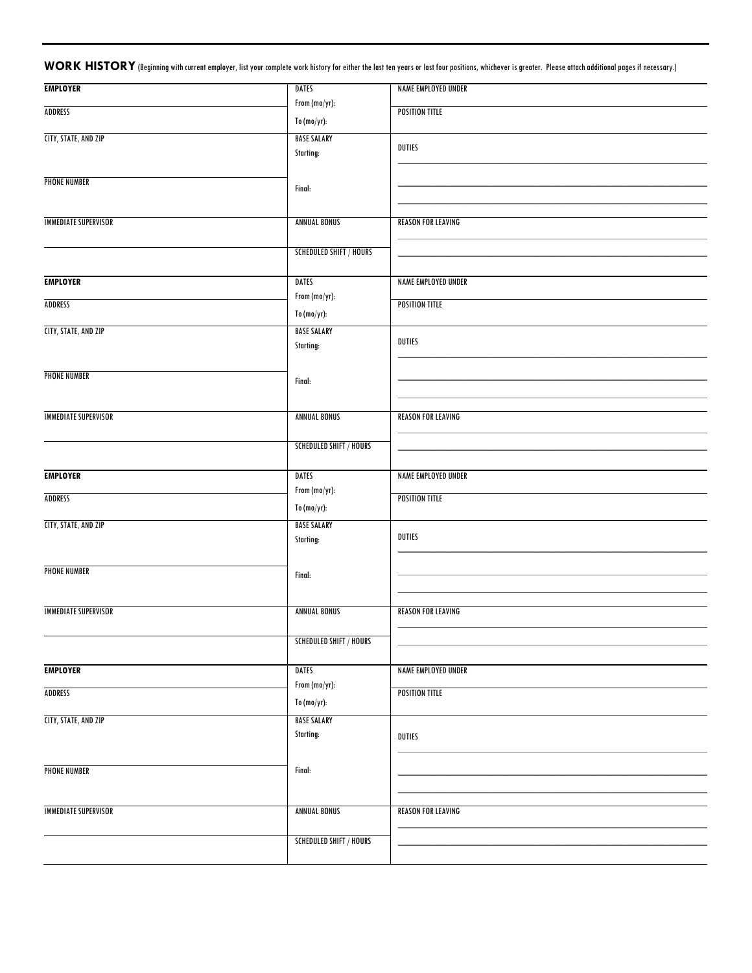WORK HISTORY (Beginning with current employer, list your complete work history for either the last ten years or last four positions, whichever is greater. Please attach additional pages if necessary.)

| <b>EMPLOYER</b>             | DATES<br>From (mo/yr):            | NAME EMPLOYED UNDER       |
|-----------------------------|-----------------------------------|---------------------------|
| <b>ADDRESS</b>              | To (mo/yr):                       | <b>POSITION TITLE</b>     |
|                             |                                   |                           |
| <b>CITY, STATE, AND ZIP</b> | <b>BASE SALARY</b><br>Starting:   | DUTIES                    |
|                             |                                   |                           |
| <b>PHONE NUMBER</b>         | Final:                            |                           |
|                             |                                   |                           |
| <b>IMMEDIATE SUPERVISOR</b> | <b>ANNUAL BONUS</b>               | <b>REASON FOR LEAVING</b> |
|                             | SCHEDULED SHIFT / HOURS           |                           |
|                             |                                   |                           |
| <b>EMPLOYER</b>             | DATES                             | NAME EMPLOYED UNDER       |
| <b>ADDRESS</b>              | From (mo/yr):                     | <b>POSITION TITLE</b>     |
| <b>CITY, STATE, AND ZIP</b> | To (mo/yr):<br><b>BASE SALARY</b> |                           |
|                             | Starting:                         | <b>DUTIES</b>             |
| <b>PHONE NUMBER</b>         |                                   |                           |
|                             | Final:                            |                           |
|                             |                                   |                           |
| <b>IMMEDIATE SUPERVISOR</b> | <b>ANNUAL BONUS</b>               | <b>REASON FOR LEAVING</b> |
|                             | <b>SCHEDULED SHIFT / HOURS</b>    |                           |
|                             |                                   |                           |
| <b>EMPLOYER</b>             | DATES                             | NAME EMPLOYED UNDER       |
| <b>ADDRESS</b>              | From $(mo/yr)$ :                  | <b>POSITION TITLE</b>     |
|                             | To (mo/yr):                       |                           |
| <b>CITY, STATE, AND ZIP</b> | <b>BASE SALARY</b>                | DUTIES                    |
|                             | Starting:                         |                           |
| <b>PHONE NUMBER</b>         | Final:                            |                           |
|                             |                                   |                           |
| <b>IMMEDIATE SUPERVISOR</b> | <b>ANNUAL BONUS</b>               | <b>REASON FOR LEAVING</b> |
|                             |                                   |                           |
|                             | <b>SCHEDULED SHIFT / HOURS</b>    |                           |
| <b>EMPLOYER</b>             | DATES                             | NAME EMPLOYED UNDER       |
| <b>ADDRESS</b>              | From (mo/yr):                     | <b>POSITION TITLE</b>     |
|                             | To (mo/yr):                       |                           |
| <b>CITY, STATE, AND ZIP</b> | <b>BASE SALARY</b><br>Starting:   |                           |
|                             |                                   | DUTIES                    |
| <b>PHONE NUMBER</b>         | Final:                            |                           |
|                             |                                   |                           |
| <b>IMMEDIATE SUPERVISOR</b> | <b>ANNUAL BONUS</b>               | <b>REASON FOR LEAVING</b> |
|                             |                                   |                           |
|                             | <b>SCHEDULED SHIFT / HOURS</b>    |                           |
|                             |                                   |                           |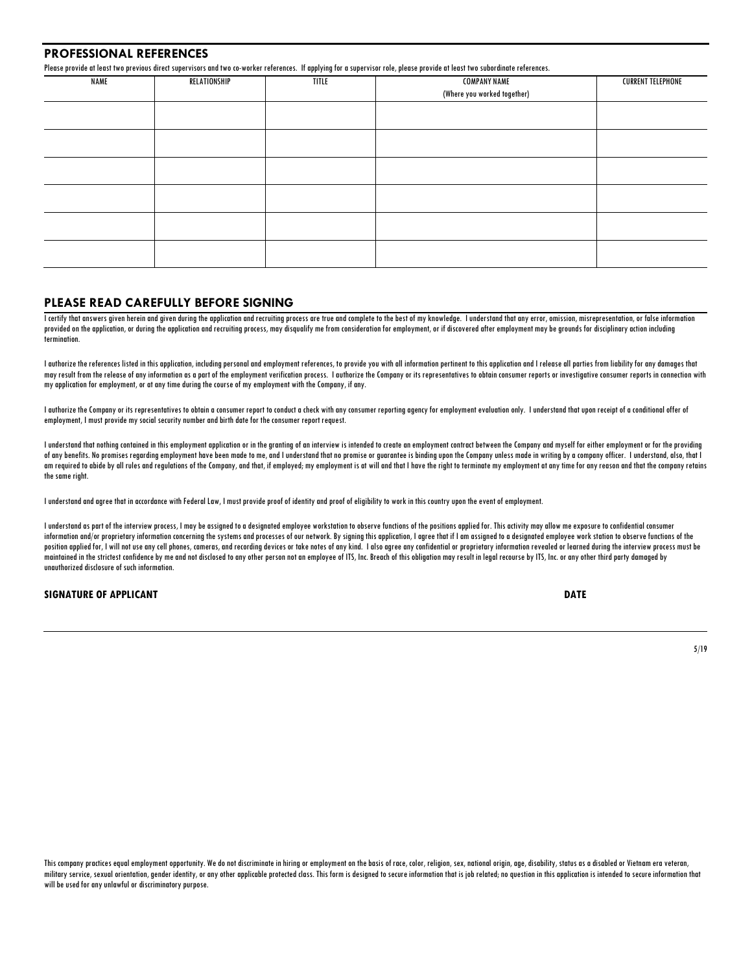# **PROFESSIONAL REFERENCES**

Please provide at least two previous direct supervisors and two co-worker references. If applying for a supervisor role, please provide at least two subordinate references.

| NAME | RELATIONSHIP | TITLE | <b>COMPANY NAME</b>         | <b>CURRENT TELEPHONE</b> |
|------|--------------|-------|-----------------------------|--------------------------|
|      |              |       | (Where you worked together) |                          |
|      |              |       |                             |                          |
|      |              |       |                             |                          |
|      |              |       |                             |                          |
|      |              |       |                             |                          |
|      |              |       |                             |                          |
|      |              |       |                             |                          |
|      |              |       |                             |                          |
|      |              |       |                             |                          |
|      |              |       |                             |                          |
|      |              |       |                             |                          |
|      |              |       |                             |                          |
|      |              |       |                             |                          |

#### **PLEASE READ CAREFULLY BEFORE SIGNING**

I certify that answers given herein and given during the application and recruiting process are true and complete to the best of my knowledge. I understand that any error, omission, misrepresentation, or false information provided on the application, or during the application and recruiting process, may disqualify me from consideration for employment, or if discovered after employment may be grounds for disciplinary action including termination.

I authorize the references listed in this application, including personal and employment references, to provide you with all information pertinent to this application and I release all parties from liability for any damage may result from the release of any information as a part of the employment verification process. I authorize the Company or its representatives to obtain consumer reports or investigative consumer reports in connection wit my application for employment, or at any time during the course of my employment with the Company, if any.

I authorize the Company or its representatives to obtain a consumer report to conduct a check with any consumer reporting agency for employment evaluation only. I understand that upon receipt of a conditional offer of employment, I must provide my social security number and birth date for the consumer report request.

I understand that nothing contained in this employment application or in the granting of an interview is intended to create an employment contract between the Company and myself for either employment or for the providing of any benefits. No promises regarding employment have been made to me, and I understand that no promise or guarantee is binding upon the Company unless made in writing by a company officer. I understand, also, that I am required to abide by all rules and regulations of the Company, and that, if employed; my employment is at will and that I have the right to terminate my employment at any time for any reason and that the company retains the same right.

I understand and agree that in accordance with Federal Law, I must provide proof of identity and proof of eligibility to work in this country upon the event of employment.

I understand as part of the interview process, I may be assigned to a designated employee workstation to observe functions of the positions applied for. This activity may allow me exposure to confidential consumer information and/or proprietary information concerning the systems and processes of our network. By signing this application, I agree that if I am assigned to a designated employee work station to observe functions of the position applied for, I will not use any cell phones, cameras, and recording devices or take notes of any kind. I also agree any confidential or proprietary information revealed or learned during the interview process must maintained in the strictest confidence by me and not disclosed to any other person not an employee of ITS, Inc. Breach of this obligation may result in legal recourse by ITS, Inc. or any other third party damaged by unauthorized disclosure of such information.

#### **SIGNATURE OF APPLICANT DATE**

5/19

This company practices equal employment opportunity. We do not discriminate in hiring or employment on the basis of race, color, religion, sex, national origin, age, disability, status as a disabled or Vietnam era veteran, military service, sexual orientation, gender identity, or any other applicable protected class. This form is designed to secure information that is job related; no question in this application is intended to secure informa will be used for any unlawful or discriminatory purpose.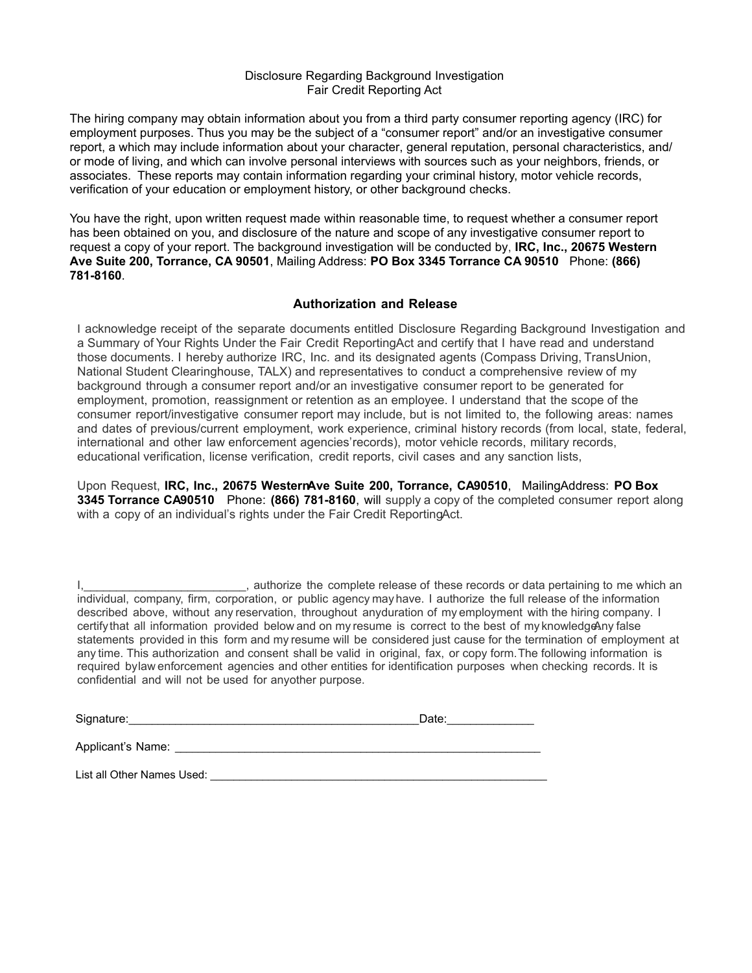### Disclosure Regarding Background Investigation Fair Credit Reporting Act

The hiring company may obtain information about you from a third party consumer reporting agency (IRC) for employment purposes. Thus you may be the subject of a "consumer report" and/or an investigative consumer report, a which may include information about your character, general reputation, personal characteristics, and/ or mode of living, and which can involve personal interviews with sources such as your neighbors, friends, or associates. These reports may contain information regarding your criminal history, motor vehicle records, verification of your education or employment history, or other background checks.

You have the right, upon written request made within reasonable time, to request whether a consumer report has been obtained on you, and disclosure of the nature and scope of any investigative consumer report to request a copy of your report. The background investigation will be conducted by, **IRC, Inc., 20675 Western Ave Suite 200, Torrance, CA 90501**, Mailing Address: **PO Box 3345 Torrance CA 90510** Phone: **(866) 781-8160**.

# **Authorization and Release**

I acknowledge receipt of the separate documents entitled Disclosure Regarding Background Investigation and a Summary of Your Rights Under the Fair Credit Reporting Act and certify that I have read and understand those documents. I hereby authorize IRC, Inc. and its designated agents (Compass Driving, TransUnion, National Student Clearinghouse, TALX) and representatives to conduct a comprehensive review of my background through a consumer report and/or an investigative consumer report to be generated for employment, promotion, reassignment or retention as an employee. I understand that the scope of the consumer report/investigative consumer report may include, but is not limited to, the following areas: names and dates of previous/current employment, work experience, criminal history records (from local, state, federal, international and other law enforcement agencies' records), motor vehicle records, military records, educational verification, license verification, credit reports, civil cases and any sanction lists,

Upon Request, IRC, Inc., 20675 WesternAve Suite 200, Torrance, CA90510, Mailing Address: PO Box **3345 Torrance CA90510** Phone: **(866) 781-8160**, will supply a copy of the completed consumer report along with a copy of an individual's rights under the Fair Credit Reporting Act.

I, the complete release of these records or data pertaining to me which an interval or data pertaining to me which an individual, company, firm, corporation, or public agency may have. I authorize the full release of the information described above, without any reservation, throughout any duration of my employment with the hiring company. I certify that all information provided below and on my resume is correct to the best of my knowledge any false statements provided in this form and my resume will be considered just cause for the termination of employment at any time. This authorization and consent shall be valid in original, fax, or copy form. The following information is required by law enforcement agencies and other entities for identification purposes when checking records. It is confidential and will not be used for any other purpose.

| Signature: | Jate. |
|------------|-------|
|            |       |
|            |       |

Applicant's Name: **Alternative According to According the According According to According the According According to According the According to According the According to According the According to According the According** 

List all Other Names Used:  $\Box$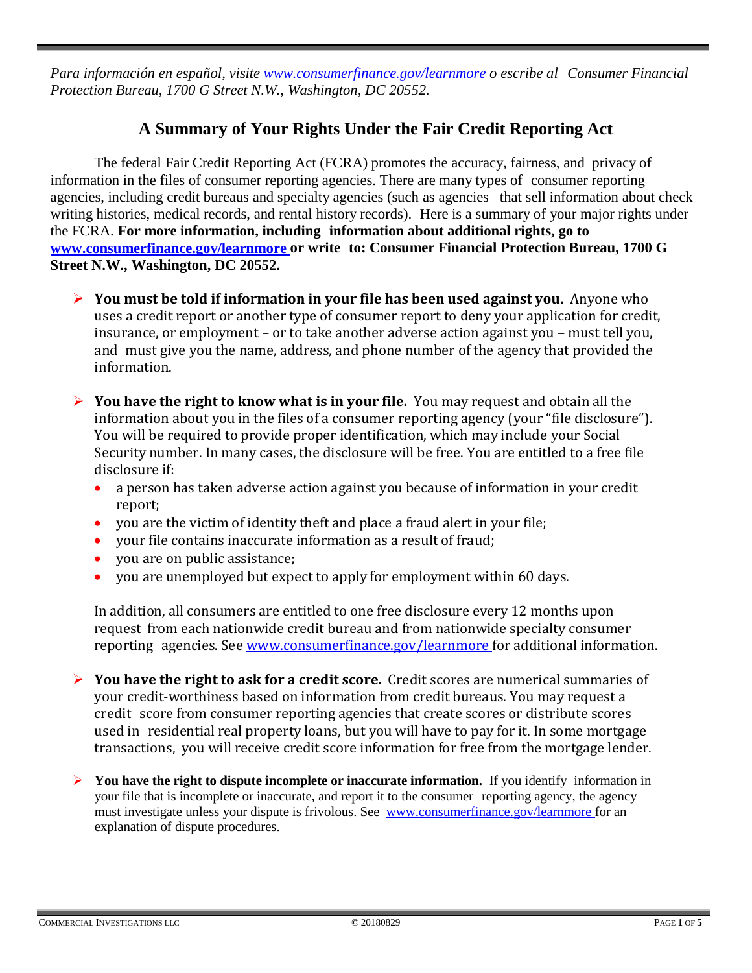*Para información en español, visite [www.consumerfinance.gov/learnmore o](http://www.consumerfinance.gov/learnmore) escribe al Consumer Financial Protection Bureau, 1700 G Street N.W., Washington, DC 20552.*

# **A Summary of Your Rights Under the Fair Credit Reporting Act**

The federal Fair Credit Reporting Act (FCRA) promotes the accuracy, fairness, and privacy of information in the files of consumer reporting agencies. There are many types of consumer reporting agencies, including credit bureaus and specialty agencies (such as agencies that sell information about check writing histories, medical records, and rental history records). Here is a summary of your major rights under the FCRA. **For more information, including information about additional rights, go to [www.consumerfinance.gov/learnmore](http://www.consumerfinance.gov/learnmore) or write to: Consumer Financial Protection Bureau, 1700 G Street N.W., Washington, DC 20552.**

- **You must be told if information in your file has been used against you.** Anyone who uses a credit report or another type of consumer report to deny your application for credit, insurance, or employment – or to take another adverse action against you – must tell you, and must give you the name, address, and phone number of the agency that provided the information.
- **You have the right to know what is in your file.** You may request and obtain all the information about you in the files of a consumer reporting agency (your "file disclosure"). You will be required to provide proper identification, which may include your Social Security number. In many cases, the disclosure will be free. You are entitled to a free file disclosure if:
	- a person has taken adverse action against you because of information in your credit report;
	- you are the victim of identity theft and place a fraud alert in your file;<br>• your file contains inaccurate information as a result of fraud:
	- your file contains inaccurate information as a result of fraud;
	- you are on public assistance;
	- you are unemployed but expect to apply for employment within 60 days.

In addition, all consumers are entitled to one free disclosure every 12 months upon request from each nationwide credit bureau and from nationwide specialty consumer reporting agencies. See [www.consumerfinance.gov/learnmore](http://www.consumerfinance.gov/learnmore) for additional information.

- **You have the right to ask for a credit score.** Credit scores are numerical summaries of your credit-worthiness based on information from credit bureaus. You may request a credit score from consumer reporting agencies that create scores or distribute scores used in residential real property loans, but you will have to pay for it. In some mortgage transactions, you will receive credit score information for free from the mortgage lender.
- **You have the right to dispute incomplete or inaccurate information.** If you identify information in your file that is incomplete or inaccurate, and report it to the consumer reporting agency, the agency must investigate unless your dispute is frivolous. See [www.consumerfinance.gov/learnmore](http://www.consumerfinance.gov/learnmore) for an explanation of dispute procedures.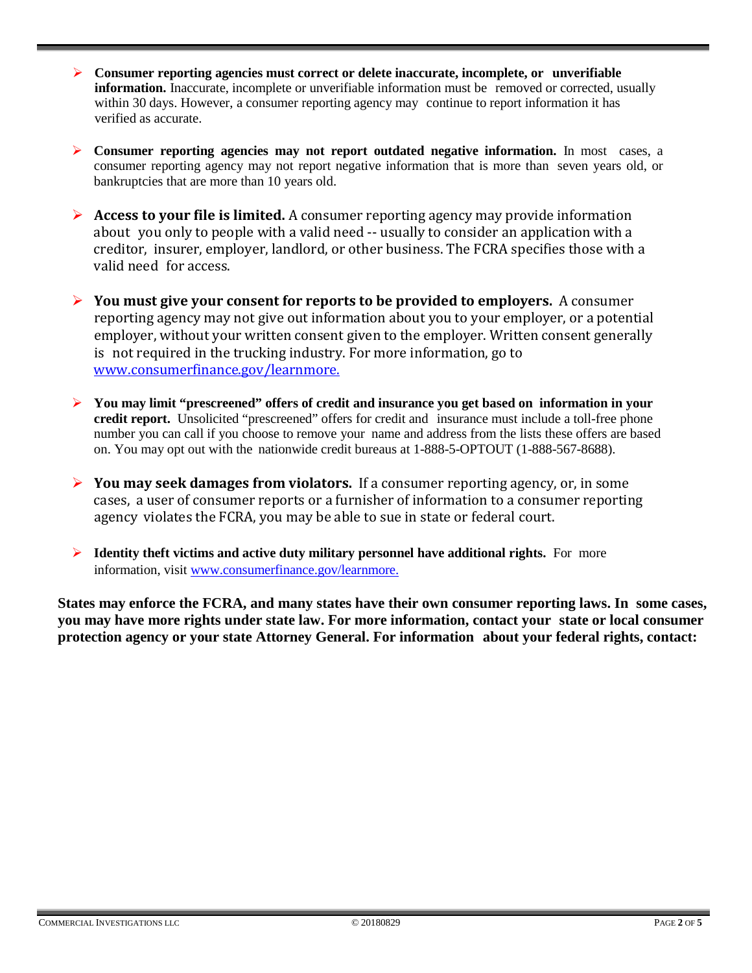- **Consumer reporting agencies must correct or delete inaccurate, incomplete, or unverifiable information.** Inaccurate, incomplete or unverifiable information must be removed or corrected, usually within 30 days. However, a consumer reporting agency may continue to report information it has verified as accurate.
- **Consumer reporting agencies may not report outdated negative information.** In most cases, a consumer reporting agency may not report negative information that is more than seven years old, or bankruptcies that are more than 10 years old.
- **Access to your file is limited.** A consumer reporting agency may provide information about you only to people with a valid need -- usually to consider an application with a creditor, insurer, employer, landlord, or other business. The FCRA specifies those with a valid need for access.
- **You must give your consent for reports to be provided to employers.** A consumer reporting agency may not give out information about you to your employer, or a potential employer, without your written consent given to the employer. Written consent generally is not required in the trucking industry. For more information, go to [www.consumerfinance.gov/learnmore.](http://www.consumerfinance.gov/learnmore)
- **You may limit "prescreened" offers of credit and insurance you get based on information in your credit report.** Unsolicited "prescreened" offers for credit and insurance must include a toll-free phone number you can call if you choose to remove your name and address from the lists these offers are based on. You may opt out with the nationwide credit bureaus at 1-888-5-OPTOUT (1-888-567-8688).
- **You may seek damages from violators.** If a consumer reporting agency, or, in some cases, a user of consumer reports or a furnisher of information to a consumer reporting agency violates the FCRA, you may be able to sue in state or federal court.
- **Identity theft victims and active duty military personnel have additional rights.** For more information, visit [www.consumerfinance.gov/learnmore.](http://www.consumerfinance.gov/learnmore)

**States may enforce the FCRA, and many states have their own consumer reporting laws. In some cases, you may have more rights under state law. For more information, contact your state or local consumer protection agency or your state Attorney General. For information about your federal rights, contact:**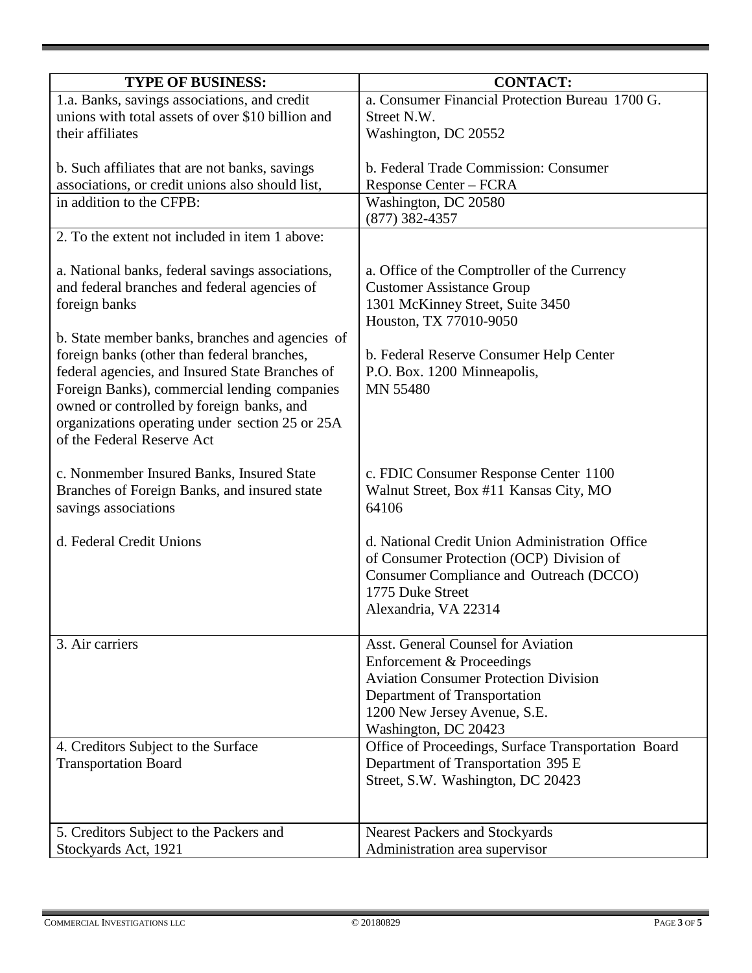| <b>TYPE OF BUSINESS:</b>                                                                                                                                                                                                                                                                                                                                                                                                                             | <b>CONTACT:</b>                                                                                                                                                                                                                             |
|------------------------------------------------------------------------------------------------------------------------------------------------------------------------------------------------------------------------------------------------------------------------------------------------------------------------------------------------------------------------------------------------------------------------------------------------------|---------------------------------------------------------------------------------------------------------------------------------------------------------------------------------------------------------------------------------------------|
| 1.a. Banks, savings associations, and credit                                                                                                                                                                                                                                                                                                                                                                                                         | a. Consumer Financial Protection Bureau 1700 G.                                                                                                                                                                                             |
| unions with total assets of over \$10 billion and                                                                                                                                                                                                                                                                                                                                                                                                    | Street N.W.                                                                                                                                                                                                                                 |
| their affiliates                                                                                                                                                                                                                                                                                                                                                                                                                                     | Washington, DC 20552                                                                                                                                                                                                                        |
|                                                                                                                                                                                                                                                                                                                                                                                                                                                      |                                                                                                                                                                                                                                             |
| b. Such affiliates that are not banks, savings                                                                                                                                                                                                                                                                                                                                                                                                       | b. Federal Trade Commission: Consumer                                                                                                                                                                                                       |
| associations, or credit unions also should list,                                                                                                                                                                                                                                                                                                                                                                                                     | <b>Response Center – FCRA</b>                                                                                                                                                                                                               |
| in addition to the CFPB:                                                                                                                                                                                                                                                                                                                                                                                                                             | Washington, DC 20580                                                                                                                                                                                                                        |
|                                                                                                                                                                                                                                                                                                                                                                                                                                                      | $(877)$ 382-4357                                                                                                                                                                                                                            |
| 2. To the extent not included in item 1 above:                                                                                                                                                                                                                                                                                                                                                                                                       |                                                                                                                                                                                                                                             |
| a. National banks, federal savings associations,<br>and federal branches and federal agencies of<br>foreign banks<br>b. State member banks, branches and agencies of<br>foreign banks (other than federal branches,<br>federal agencies, and Insured State Branches of<br>Foreign Banks), commercial lending companies<br>owned or controlled by foreign banks, and<br>organizations operating under section 25 or 25A<br>of the Federal Reserve Act | a. Office of the Comptroller of the Currency<br><b>Customer Assistance Group</b><br>1301 McKinney Street, Suite 3450<br>Houston, TX 77010-9050<br>b. Federal Reserve Consumer Help Center<br>P.O. Box. 1200 Minneapolis,<br><b>MN 55480</b> |
| c. Nonmember Insured Banks, Insured State<br>Branches of Foreign Banks, and insured state<br>savings associations                                                                                                                                                                                                                                                                                                                                    | c. FDIC Consumer Response Center 1100<br>Walnut Street, Box #11 Kansas City, MO<br>64106                                                                                                                                                    |
| d. Federal Credit Unions                                                                                                                                                                                                                                                                                                                                                                                                                             | d. National Credit Union Administration Office<br>of Consumer Protection (OCP) Division of<br>Consumer Compliance and Outreach (DCCO)<br>1775 Duke Street<br>Alexandria, VA 22314                                                           |
| 3. Air carriers                                                                                                                                                                                                                                                                                                                                                                                                                                      | <b>Asst. General Counsel for Aviation</b><br>Enforcement & Proceedings<br><b>Aviation Consumer Protection Division</b><br>Department of Transportation<br>1200 New Jersey Avenue, S.E.<br>Washington, DC 20423                              |
| 4. Creditors Subject to the Surface                                                                                                                                                                                                                                                                                                                                                                                                                  | Office of Proceedings, Surface Transportation Board                                                                                                                                                                                         |
| <b>Transportation Board</b>                                                                                                                                                                                                                                                                                                                                                                                                                          | Department of Transportation 395 E                                                                                                                                                                                                          |
|                                                                                                                                                                                                                                                                                                                                                                                                                                                      | Street, S.W. Washington, DC 20423                                                                                                                                                                                                           |
| 5. Creditors Subject to the Packers and                                                                                                                                                                                                                                                                                                                                                                                                              | <b>Nearest Packers and Stockyards</b>                                                                                                                                                                                                       |
| Stockyards Act, 1921                                                                                                                                                                                                                                                                                                                                                                                                                                 | Administration area supervisor                                                                                                                                                                                                              |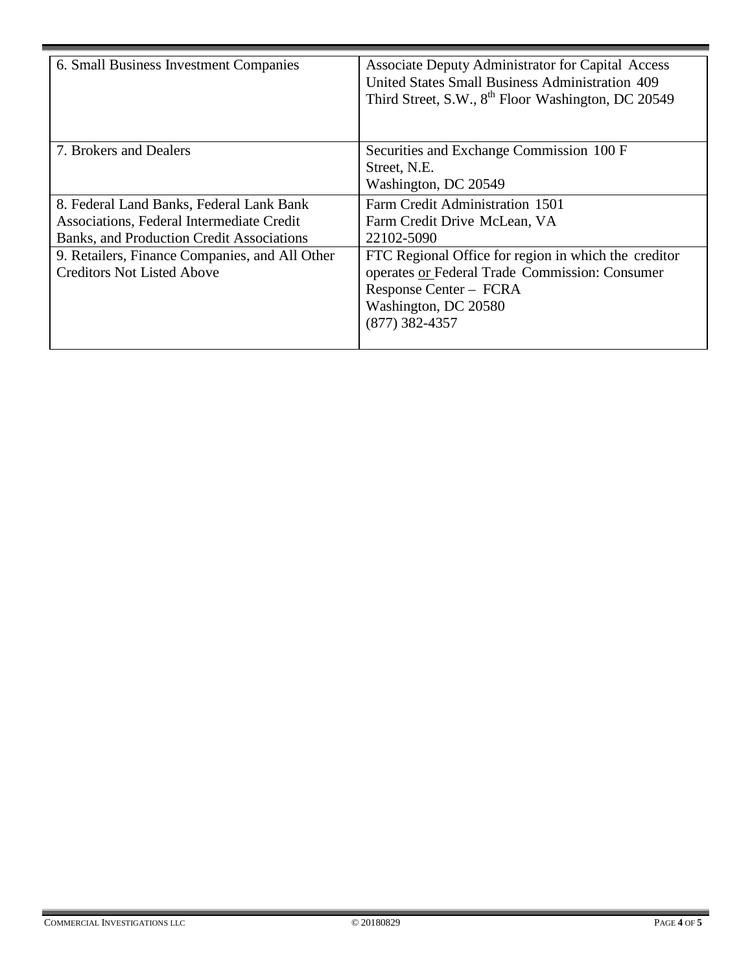| 6. Small Business Investment Companies                                                 | <b>Associate Deputy Administrator for Capital Access</b><br>United States Small Business Administration 409<br>Third Street, S.W., 8 <sup>th</sup> Floor Washington, DC 20549 |
|----------------------------------------------------------------------------------------|-------------------------------------------------------------------------------------------------------------------------------------------------------------------------------|
| 7. Brokers and Dealers                                                                 | Securities and Exchange Commission 100 F<br>Street, N.E.<br>Washington, DC 20549                                                                                              |
| 8. Federal Land Banks, Federal Lank Bank                                               | Farm Credit Administration 1501                                                                                                                                               |
| Associations, Federal Intermediate Credit<br>Banks, and Production Credit Associations | Farm Credit Drive McLean, VA<br>22102-5090                                                                                                                                    |
| 9. Retailers, Finance Companies, and All Other<br><b>Creditors Not Listed Above</b>    | FTC Regional Office for region in which the creditor<br>operates or Federal Trade Commission: Consumer<br>Response Center - FCRA<br>Washington, DC 20580<br>$(877)$ 382-4357  |